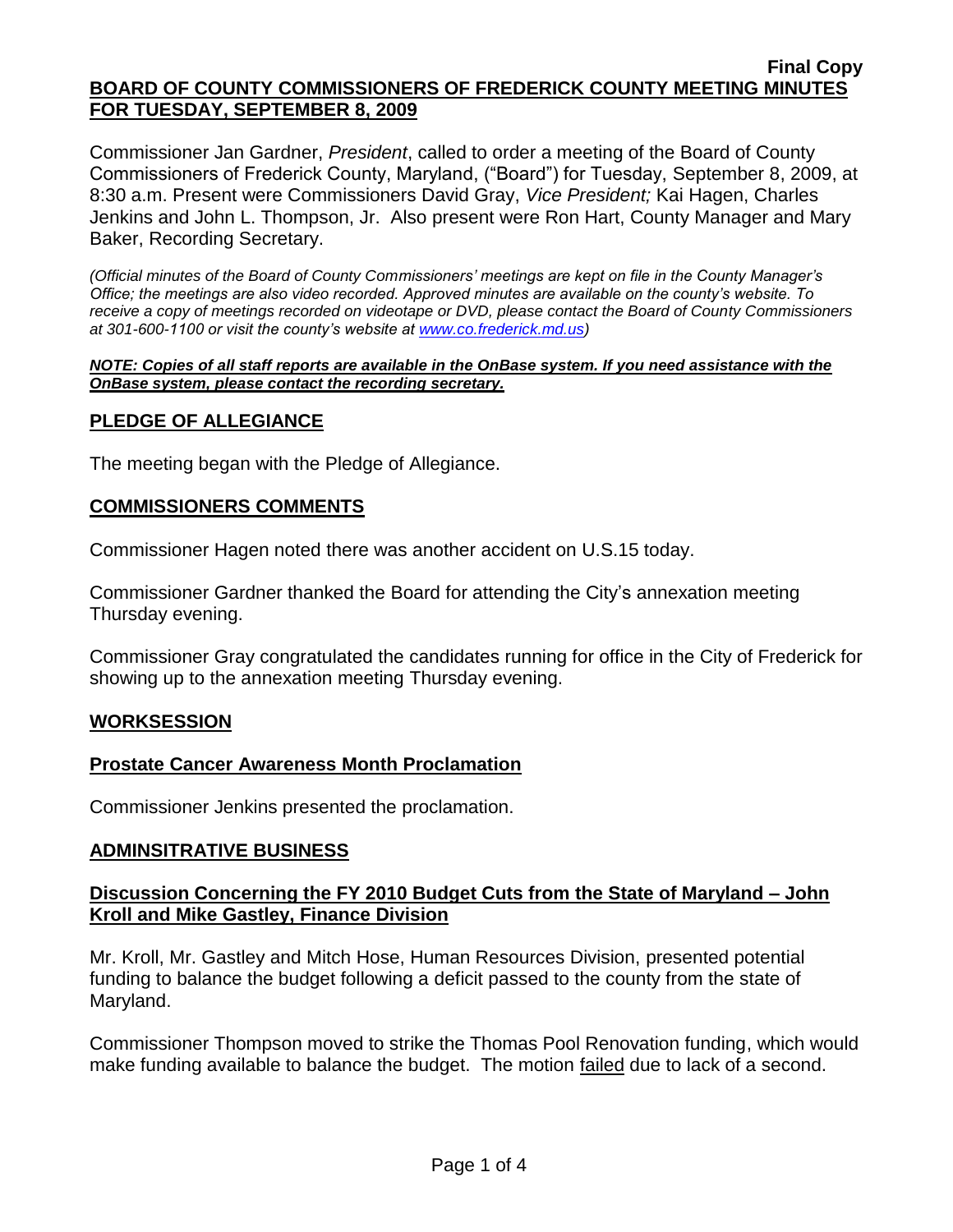Commissioner Jan Gardner, *President*, called to order a meeting of the Board of County Commissioners of Frederick County, Maryland, ("Board") for Tuesday, September 8, 2009, at 8:30 a.m. Present were Commissioners David Gray, *Vice President;* Kai Hagen, Charles Jenkins and John L. Thompson, Jr. Also present were Ron Hart, County Manager and Mary Baker, Recording Secretary.

*(Official minutes of the Board of County Commissioners' meetings are kept on file in the County Manager's Office; the meetings are also video recorded. Approved minutes are available on the county's website. To receive a copy of meetings recorded on videotape or DVD, please contact the Board of County Commissioners at 301-600-1100 or visit the county's website at [www.co.frederick.md.us\)](http://www.co.frederick.md.us/)*

#### *NOTE: Copies of all staff reports are available in the OnBase system. If you need assistance with the OnBase system, please contact the recording secretary.*

## **PLEDGE OF ALLEGIANCE**

The meeting began with the Pledge of Allegiance.

### **COMMISSIONERS COMMENTS**

Commissioner Hagen noted there was another accident on U.S.15 today.

Commissioner Gardner thanked the Board for attending the City's annexation meeting Thursday evening.

Commissioner Gray congratulated the candidates running for office in the City of Frederick for showing up to the annexation meeting Thursday evening.

### **WORKSESSION**

### **Prostate Cancer Awareness Month Proclamation**

Commissioner Jenkins presented the proclamation.

### **ADMINSITRATIVE BUSINESS**

## **Discussion Concerning the FY 2010 Budget Cuts from the State of Maryland – John Kroll and Mike Gastley, Finance Division**

Mr. Kroll, Mr. Gastley and Mitch Hose, Human Resources Division, presented potential funding to balance the budget following a deficit passed to the county from the state of Maryland.

Commissioner Thompson moved to strike the Thomas Pool Renovation funding, which would make funding available to balance the budget. The motion failed due to lack of a second.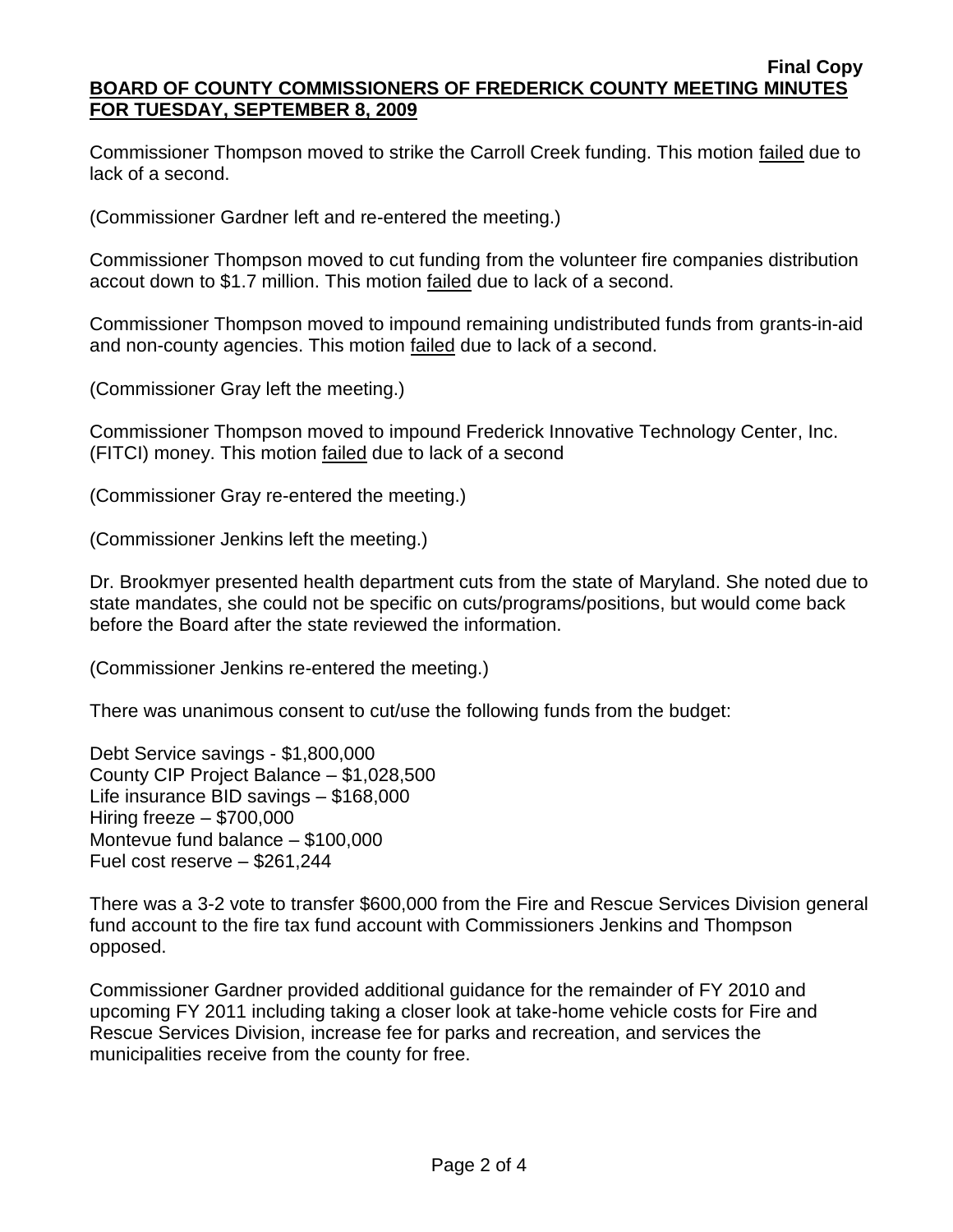Commissioner Thompson moved to strike the Carroll Creek funding. This motion failed due to lack of a second.

(Commissioner Gardner left and re-entered the meeting.)

Commissioner Thompson moved to cut funding from the volunteer fire companies distribution accout down to \$1.7 million. This motion failed due to lack of a second.

Commissioner Thompson moved to impound remaining undistributed funds from grants-in-aid and non-county agencies. This motion **failed** due to lack of a second.

(Commissioner Gray left the meeting.)

Commissioner Thompson moved to impound Frederick Innovative Technology Center, Inc. (FITCI) money. This motion failed due to lack of a second

(Commissioner Gray re-entered the meeting.)

(Commissioner Jenkins left the meeting.)

Dr. Brookmyer presented health department cuts from the state of Maryland. She noted due to state mandates, she could not be specific on cuts/programs/positions, but would come back before the Board after the state reviewed the information.

(Commissioner Jenkins re-entered the meeting.)

There was unanimous consent to cut/use the following funds from the budget:

Debt Service savings - \$1,800,000 County CIP Project Balance – \$1,028,500 Life insurance BID savings – \$168,000 Hiring freeze – \$700,000 Montevue fund balance – \$100,000 Fuel cost reserve – \$261,244

There was a 3-2 vote to transfer \$600,000 from the Fire and Rescue Services Division general fund account to the fire tax fund account with Commissioners Jenkins and Thompson opposed.

Commissioner Gardner provided additional guidance for the remainder of FY 2010 and upcoming FY 2011 including taking a closer look at take-home vehicle costs for Fire and Rescue Services Division, increase fee for parks and recreation, and services the municipalities receive from the county for free.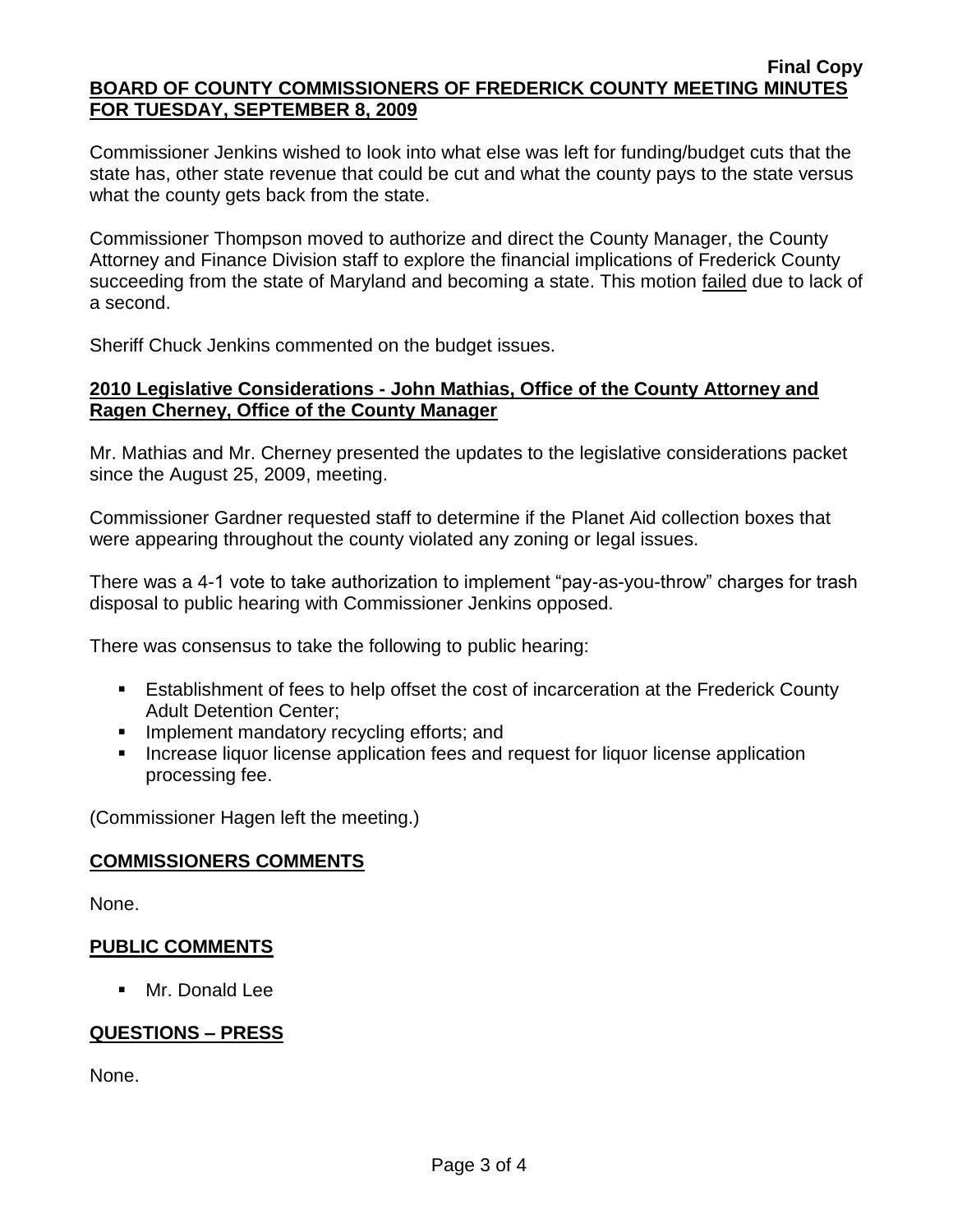Commissioner Jenkins wished to look into what else was left for funding/budget cuts that the state has, other state revenue that could be cut and what the county pays to the state versus what the county gets back from the state.

Commissioner Thompson moved to authorize and direct the County Manager, the County Attorney and Finance Division staff to explore the financial implications of Frederick County succeeding from the state of Maryland and becoming a state. This motion failed due to lack of a second.

Sheriff Chuck Jenkins commented on the budget issues.

### **2010 Legislative Considerations - John Mathias, Office of the County Attorney and Ragen Cherney, Office of the County Manager**

Mr. Mathias and Mr. Cherney presented the updates to the legislative considerations packet since the August 25, 2009, meeting.

Commissioner Gardner requested staff to determine if the Planet Aid collection boxes that were appearing throughout the county violated any zoning or legal issues.

There was a 4-1 vote to take authorization to implement "pay-as-you-throw" charges for trash disposal to public hearing with Commissioner Jenkins opposed.

There was consensus to take the following to public hearing:

- Establishment of fees to help offset the cost of incarceration at the Frederick County Adult Detention Center;
- **Implement mandatory recycling efforts; and**
- **Increase liquor license application fees and request for liquor license application** processing fee.

(Commissioner Hagen left the meeting.)

### **COMMISSIONERS COMMENTS**

None.

### **PUBLIC COMMENTS**

**Mr. Donald Lee** 

# **QUESTIONS – PRESS**

None.